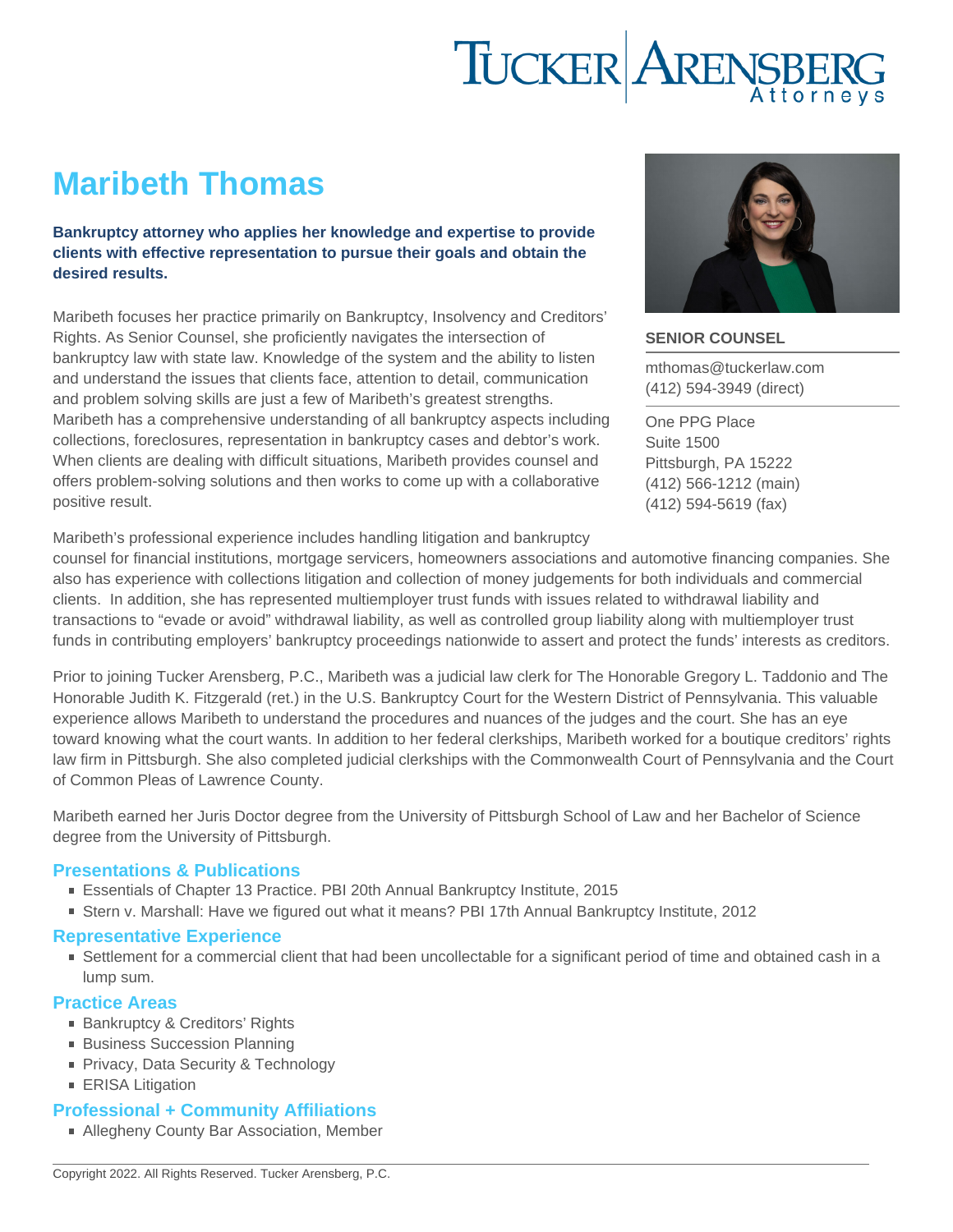# Maribeth Thomas

Bankruptcy attorney who applies her knowledge and expertise to provide clients with effective representation to pursue their goals and obtain the desired results.

Maribeth focuses her practice primarily on Bankruptcy, Insolvency and Creditors' Rights. As Senior Counsel, she proficiently navigates the intersection of bankruptcy law with state law. Knowledge of the system and the ability to listen and understand the issues that clients face, attention to detail, communication and problem solving skills are just a few of Maribeth's greatest strengths. Maribeth has a comprehensive understanding of all bankruptcy aspects including collections, foreclosures, representation in bankruptcy cases and debtor's work. When clients are dealing with difficult situations, Maribeth provides counsel and offers problem-solving solutions and then works to come up with a collaborative positive result.

SENIOR COUNSEL

[mthomas@tuckerlaw.com](mailto:mthomas@tuckerlaw.com) [\(412\) 594-3949](tel:4125943949) [\(direct\)](tel:4125943949)

[One PPG Place](https://www.tuckerlaw.com/office/pittsburgh/) [Suite 1500](https://www.tuckerlaw.com/office/pittsburgh/) [Pittsburgh, PA](https://www.tuckerlaw.com/office/pittsburgh/) [15222](https://www.tuckerlaw.com/office/pittsburgh/) [\(412\) 566-1212](tel:4125661212) [\(main\)](tel:4125661212) [\(412\) 594-5619](tel:4125945619) [\(fax\)](tel:4125945619)

Maribeth's professional experience includes handling litigation and bankruptcy

counsel for financial institutions, mortgage servicers, homeowners associations and automotive financing companies. She also has experience with collections litigation and collection of money judgements for both individuals and commercial clients. In addition, she has represented multiemployer trust funds with issues related to withdrawal liability and transactions to "evade or avoid" withdrawal liability, as well as controlled group liability along with multiemployer trust funds in contributing employers' bankruptcy proceedings nationwide to assert and protect the funds' interests as creditors.

Prior to joining Tucker Arensberg, P.C., Maribeth was a judicial law clerk for The Honorable Gregory L. Taddonio and The Honorable Judith K. Fitzgerald (ret.) in the U.S. Bankruptcy Court for the Western District of Pennsylvania. This valuable experience allows Maribeth to understand the procedures and nuances of the judges and the court. She has an eye toward knowing what the court wants. In addition to her federal clerkships, Maribeth worked for a boutique creditors' rights law firm in Pittsburgh. She also completed judicial clerkships with the Commonwealth Court of Pennsylvania and the Court of Common Pleas of Lawrence County.

Maribeth earned her Juris Doctor degree from the University of Pittsburgh School of Law and her Bachelor of Science degree from the University of Pittsburgh.

### Presentations & Publications

- Essentials of Chapter 13 Practice. PBI 20th Annual Bankruptcy Institute, 2015
- Stern v. Marshall: Have we figured out what it means? PBI 17th Annual Bankruptcy Institute, 2012

### Representative Experience

Settlement for a commercial client that had been uncollectable for a significant period of time and obtained cash in a lump sum.

### Practice Areas

- **[Bankruptcy & Creditors' Rights](https://www.tuckerlaw.com/practice-area/bankruptcy/)**
- **[Business Succession Planning](https://www.tuckerlaw.com/practice-area/business-succession/)**
- [Privacy, Data Security & Technology](https://www.tuckerlaw.com/practice-area/technology-data-security/)
- **[ERISA Litigation](https://www.tuckerlaw.com/practice-area/erisa-litigation/)**

### Professional + Community Affiliations

■ Allegheny County Bar Association, Member